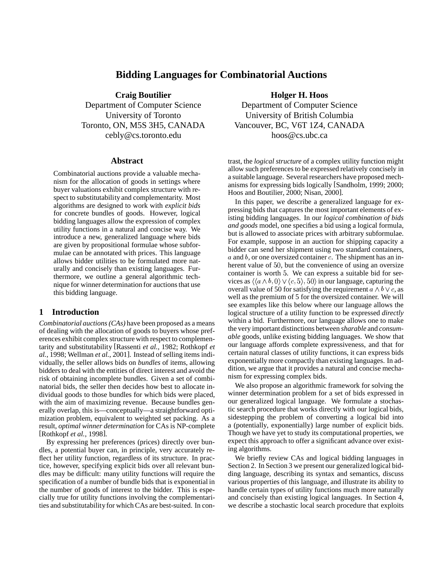# **Bidding Languages for Combinatorial Auctions**

**Craig Boutilier**

Department of Computer Science University of Toronto Toronto, ON, M5S 3H5, CANADA cebly@cs.toronto.edu

#### **Abstract**

Combinatorial auctions provide a valuable mechanism for the allocation of goods in settings where buyer valuations exhibit complex structure with respect to substitutability and complementarity. Most algorithms are designed to work with *explicit bids* for concrete bundles of goods. However, logical bidding languages allow the expression of complex utility functions in a natural and concise way. We introduce a new, generalized language where bids are given by propositional formulae whose subformulae can be annotated with prices. This language allows bidder utilities to be formulated more naturally and concisely than existing languages. Furthermore, we outline a general algorithmic technique for winner determination for auctionsthat use this bidding language.

# **1 Introduction**

*Combinatorial auctions(CAs)* have been proposed as a means of dealing with the allocation of goods to buyers whose preferences exhibit complex structure with respect to complementarity and substitutability [Rassenti *et al.*, 1982; Rothkopf *et al.*, 1998; Wellman *et al.*, 2001]. Instead of selling items individually, the seller allows bids on *bundles* of items, allowing bidders to deal with the entities of direct interest and avoid the risk of obtaining incomplete bundles. Given a set of combinatorial bids, the seller then decides how best to allocate individual goods to those bundles for which bids were placed, with the aim of maximizing revenue. Because bundles generally overlap, this is—conceptually—a straightforward optimization problem, equivalent to weighted set packing. As a result, *optimal winner determination* for CAs is NP-complete [Rothkopf *et al.*, 1998].

By expressing her preferences (prices) directly over bundles, a potential buyer can, in principle, very accurately reflect her utility function, regardless of its structure. In practice, however, specifying explicit bids over all relevant bundles may be difficult: many utility functions will require the specification of a number of bundle bids that is exponential in the number of goods of interest to the bidder. This is especially true for utility functions involving the complementarities and substitutability for which CAs are best-suited. In con**Holger H. Hoos**

Department of Computer Science University of British Columbia Vancouver, BC, V6T 1Z4, CANADA hoos@cs.ubc.ca

trast, the *logical structure* of a complex utility function might allow such preferencesto be expressed relatively concisely in a suitable language. Several researchers have proposed mechanisms for expressing bids logically [Sandholm, 1999; 2000; Hoos and Boutilier, 2000; Nisan, 2000].

In this paper, we describe a generalized language for expressing bids that captures the mostimportant elements of existing bidding languages. In our *logical combination of bids and goods* model, one specifies a bid using a logical formula, but is allowed to associate prices with arbitrary subformulae. For example, suppose in an auction for shipping capacity a bidder can send her shipment using two standard containers,  $a$  and  $b$ , or one oversized container  $c$ . The shipment has an inherent value of 50, but the convenience of using an oversize container is worth 5. We can express a suitable bid for services as  $\langle \langle a \wedge b, 0 \rangle \vee \langle c, 5 \rangle$ , 50 $\rangle$  in our language, capturing the overall value of 50 for satisfying the requirement  $a \wedge b \vee c$ , as well as the premium of 5 for the oversized container. We will see examples like this below where our language allows the logical structure of a utility function to be expressed *directly* within a bid. Furthermore, our language allows one to make the very important distinctions between *sharable* and *consumable* goods, unlike existing bidding languages. We show that our language affords complete expressiveness, and that for certain natural classes of utility functions, it can express bids exponentially more compactly than existing languages. In addition, we argue that it provides a natural and concise mechanism for expressing complex bids.

We also propose an algorithmic framework for solving the winner determination problem for a set of bids expressed in our generalized logical language. We formulate a stochastic search procedure that works directly with our logical bids, sidestepping the problem of converting a logical bid into a (potentially, exponentially) large number of explicit bids. Though we have yet to study its computational properties, we expect this approach to offer a significant advance over existing algorithms.

We briefly review CAs and logical bidding languages in Section 2. In Section 3 we present our generalized logical bidding language, describing its syntax and semantics, discuss various properties of this language, and illustrate its ability to handle certain types of utility functions much more naturally and concisely than existing logical languages. In Section 4, we describe a stochastic local search procedure that exploits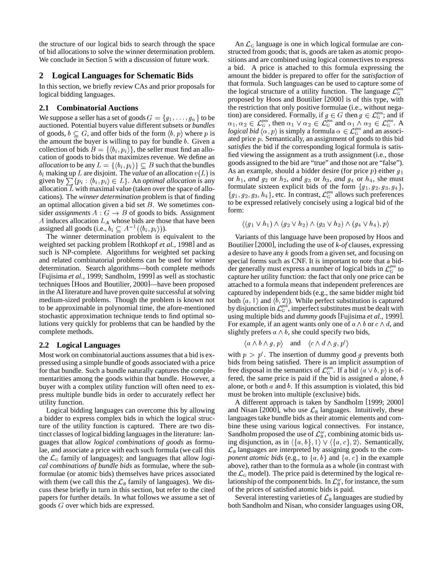the structure of our logical bids to search through the space of bid allocations to solve the winner determination problem. We conclude in Section 5 with a discussion of future work.

## **2 Logical Languages for Schematic Bids**

In this section, we briefly review CAs and prior proposals for logical bidding languages.

## **2.1 Combinatorial Auctions**

We suppose a seller has a set of goods  $G = \{g_1, \ldots, g_n\}$  to be auctioned. Potential buyers value different subsets or *bundles* of goods,  $b \subseteq G$ , and offer bids of the form  $\langle b, p \rangle$  where p is  $logit$ the amount the buyer is willing to pay for bundle  $b$ . Given a collection of bids  $B = \{ \langle b_i, p_i \rangle \}$ , the seller must find an allocation of goods to bids that maximizes revenue. We define an *allocation* to be any  $L = \{ \langle b_i, p_i \rangle \} \subseteq B$  such that the bundles  $b_i$  making up L are disjoint. The *value* of an allocation  $v(L)$  is given by  $\sum \{p_i : \langle b_i, p_i \rangle \in L\}$ . An *optimal allocation* is any allocation  $L$  with maximal value (taken over the space of allocations). The *winner determination* problem is that of finding an optimal allocation given a bid set  $B$ . We sometimes consider *assignments*  $A : G \rightarrow B$  of goods to bids. Assignment A induces allocation  $L_A$  whose bids are those that have been assigned all goods (i.e.,  $b_i \subseteq A^{-1}(\langle b_i, p_i \rangle)$ ).

The winner determination problem is equivalent to the weighted set packing problem [Rothkopf *et al.*, 1998] and as such is NP-complete. Algorithms for weighted set packing and related combinatorial problems can be used for winner determination. Search algorithms—both complete methods [Fujisima *et al.*, 1999; Sandholm, 1999] as well as stochastic techniques [Hoos and Boutilier, 2000]—have been proposed in the AI literature and have proven quite successful at solving medium-sized problems. Though the problem is known not to be approximable in polynomial time, the afore-mentioned stochastic approximation technique tends to find optimal solutions very quickly for problems that can be handled by the complete methods.

#### **2.2 Logical Languages**

Most work on combinatorial auctions assumes that a bid is expressed using a simple bundle of goods associated with a price for that bundle. Such a bundle naturally captures the complementarities among the goods within that bundle. However, a buyer with a complex utility function will often need to express multiple bundle bids in order to accurately reflect her utility function.

Logical bidding languages can overcome this by allowing a bidder to express complex bids in which the logical structure of the utility function is captured. There are two distinct classes of logical bidding languages in the literature: languages that allow *logical combinations of goods* as formulae, and associate a price with each such formula (we call this the  $\mathcal{L}_G$  family of languages); and languages that allow *logical combinations of bundle bids* as formulae, where the subformulae (or atomic bids) themselves have prices associated with them (we call this the  $\mathcal{L}_B$  family of languages). We discuss these briefly in turn in this section, but refer to the cited papers for further details. In what follows we assume a set of goods  $G$  over which bids are expressed.

An  $\mathcal{L}_G$  language is one in which logical formulae are constructed from goods; that is, goods are taken as atomic propositions and are combined using logical connectives to express a bid. A price is attached to this formula expressing the amount the bidder is prepared to offer for the *satisfaction* of that formula. Such languages can be used to capture some of the logical structure of a utility function. The language  $\mathcal{L}_G^{pos}$ proposed by Hoos and Boutilier [2000] is of this type, with the restriction that only positive formulae (i.e., without negation) are considered. Formally, if  $g \in G$  then  $g \in \mathcal{L}_G^{pos}$ ; and if  $\alpha_1, \alpha_2 \in \mathcal{L}_G^{pos}$ , then  $\alpha_1 \vee \alpha_2 \in \mathcal{L}_G^{pos}$  and  $\alpha_1 \wedge \alpha_2 \in \mathcal{L}_G^{pos}$ . A *logical bid*  $\langle \alpha, p \rangle$  is simply a formula  $\alpha \in \mathcal{L}_G^{pos}$  and an associated price  $p$ . Semantically, an assignment of goods to this bid *satisfies* the bid if the corresponding logical formula is satisfied viewing the assignment as a truth assignment (i.e., those goods assigned to the bid are "true" and those not are "false"). As an example, should a bidder desire (for price  $p$ ) either  $g_1$ or  $h_1$ , *and*  $g_2$  or  $h_2$ , *and*  $g_3$  or  $h_3$ , *and*  $g_4$  or  $h_4$ , she must formulate sixteen explicit bids of the form  ${g_1, g_2, g_3, g_4}$ ,  $\{g_1, g_2, g_3, h_4\}$ , etc. In contrast,  $\mathcal{L}_G^{pos}$  allows such preferences to be expressed relatively concisely using a logical bid of the form:

$$
\langle (g_1 \vee h_1) \wedge (g_2 \vee h_2) \wedge (g_3 \vee h_3) \wedge (g_4 \vee h_4), p \rangle
$$

Variants of this language have been proposed by Hoos and Boutilier [2000], including the use of *k-of* clauses, expressing a desire to have any  $k$  goods from a given set, and focusing on special forms such as CNF. It is important to note that a bidder generally must express a number of logical bids in  $\mathcal{L}_G^{pos}$  to capture her utility function: the fact that only one price can be attached to a formula means that independent preferences are captured by independent bids (e.g., the same bidder might bid both  $\langle a, 1 \rangle$  and  $\langle b, 2 \rangle$ ). While perfect substitution is captured by disjunction in  $\mathcal{L}_G^{pos}$ , imperfect substitutes must be dealt with using multiple bids and *dummy goods* [Fujisima *et al.*, 1999]. For example, if an agent wants only one of  $a \wedge b$  or  $c \wedge d$ , and slightly prefers  $a \wedge b$ , she could specify two bids,

$$
\langle a \wedge b \wedge g, p \rangle \quad \text{and} \quad \langle c \wedge d \wedge g, p' \rangle
$$

with  $p > p'$ . The insertion of dummy good g prevents both bids from being satisfied. There is an implicit assumption of free disposal in the semantics of  $\mathcal{L}_G^{pos}$ . If a bid  $\langle a \vee b, p \rangle$  is offered, the same price is paid if the bid is assigned  $a$  alone,  $b$ alone, or both  $a$  and  $b$ . If this assumption is violated, this bid must be broken into multiple (exclusive) bids.

A different approach is taken by Sandholm [1999; 2000] and Nisan [2000], who use  $\mathcal{L}_B$  languages. Intuitively, these languages take bundle bids as their atomic elements and combine these using various logical connectives. For instance, Sandholm proposed the use of  $\mathcal{L}_{B}^{or}$ , combining atomic bids using disjunction, as in  $\langle \{a, b\}, 1 \rangle \vee \langle \{a, c\}, 2 \rangle$ . Semantically,  $\mathcal{L}_B$  languages are interpreted by assigning goods to the *component atomic bids* (e.g., to  $\{a, b\}$  and  $\{a, c\}$  in the example above), rather than to the formula as a whole (in contrast with the  $\mathcal{L}_G$  model). The price paid is determined by the logical relationship of the component bids. In  $\mathcal{L}_{B}^{or}$ , for instance, the sum of the prices of satisfied atomic bids is paid.

Several interesting varieties of  $\mathcal{L}_B$  languages are studied by both Sandholm and Nisan, who consider languages using OR,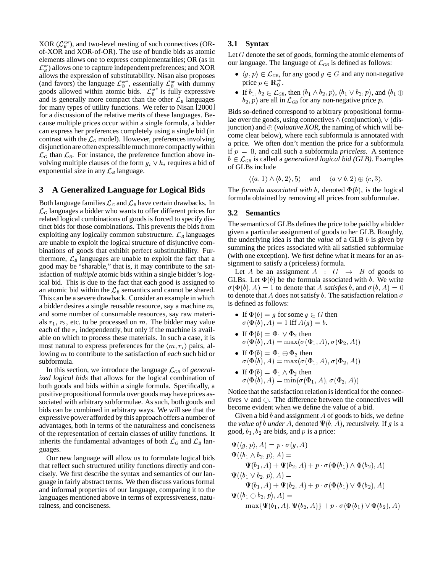$XOR$  ( $\mathcal{L}_{B}^{xor}$ ), and two-level nesting of such connectives (ORof-XOR and XOR-of-OR). The use of bundle bids as atomic elements allows one to express complementarities; OR (as in  $\mathcal{L}_{B}^{or}$ ) allows one to capture independent preferences; and XOR allows the expression of substitutability. Nisan also proposes (and favors) the language  $\mathcal{L}_{B}^{or*}$ , essentially  $\mathcal{L}_{B}^{or}$  with dummy goods allowed within atomic bids.  $\mathcal{L}_B^{\sigma^*}$  is fully expressive and is generally more compact than the other  $\mathcal{L}_B$  languages for many types of utility functions. We refer to Nisan [2000] for a discussion of the relative merits of these languages. Because multiple prices occur within a single formula, a bidder can express her preferences completely using a single bid (in contrast with the  $\mathcal{L}_G$  model). However, preferences involving disjunction are often expressible muchmore compactlywithin  $\mathcal{L}_G$  than  $\mathcal{L}_B$ . For instance, the preference function above involving multiple clauses of the form  $g_i \vee h_i$  requires a bid of exponential size in any  $\mathcal{L}_B$  language.

#### **3 A Generalized Language for Logical Bids**

Both language families  $\mathcal{L}_G$  and  $\mathcal{L}_B$  have certain drawbacks. In  $\mathcal{L}_G$  languages a bidder who wants to offer different prices for related logical combinations of goods is forced to specify distinct bids for those combinations. This prevents the bids from exploiting any logically common substructure.  $\mathcal{L}_B$  languages are unable to exploit the logical structure of disjunctive combinations of goods that exhibit perfect substitutability. Furthermore,  $\mathcal{L}_B$  languages are unable to exploit the fact that a good may be "sharable," that is, it may contribute to the satisfaction of *multiple* atomic bids within a single bidder's logical bid. This is due to the fact that each good is assigned to an atomic bid within the  $\mathcal{L}_B$  semantics and cannot be shared. This can be a severe drawback. Consider an example in which a bidder desires a single reusable resource, say a machine  $m$ , and some number of consumable resources, say raw materials  $r_1$ ,  $r_2$ , etc. to be processed on m. The bidder may value each of the  $r_i$  independently, but only if the machine is available on which to process these materials. In such a case, it is most natural to express preferences for the  $\langle m, r_i \rangle$  pairs, allowing m to contribute to the satisfaction of *each* such bid or subformula.

In this section, we introduce the language  $\mathcal{L}_{GB}$  of *generalized logical bids* that allows for the logical combination of both goods and bids within a single formula. Specifically, a positive propositional formula over goods may have prices associated with arbitrary subformulae. As such, both goods and bids can be combined in arbitrary ways. We will see that the expressive power afforded by this approach offers a number of advantages, both in terms of the naturalness and conciseness of the representation of certain classes of utility functions. It inherits the fundamental advantages of both  $\mathcal{L}_G$  and  $\mathcal{L}_B$  languages.

Our new language will allow us to formulate logical bids that reflect such structured utility functions directly and concisely. We first describe the syntax and semantics of our language in fairly abstract terms. We then discuss various formal and informal properties of our language, comparing it to the languages mentioned above in terms of expressiveness, naturalness, and conciseness.

## **3.1 Syntax**

Let  $G$  denote the set of goods, forming the atomic elements of our language. The language of  $\mathcal{L}_{GB}$  is defined as follows:

- $\bullet \ \langle g, p \rangle \in \mathcal{L}_{GB}$ , for any good  $g \in G$  and any non-negative price  $p \in \mathbf{R}_0^+$ .
- If  $b_1, b_2 \in \mathcal{L}_{GB}$ , then  $\langle b_1 \wedge b_2, p \rangle$ ,  $\langle b_1 \vee b_2, p \rangle$ , and  $\langle b_1 \oplus b_2, p \rangle$  are all in  $\mathcal{L}_{GB}$  for any non-negative price p.

Bids so-defined correspond to arbitrary propositional formulae over the goods, using connectives  $\wedge$  (conjunction),  $\vee$  (disjunction) and  $\oplus$  (*valuative XOR*, the naming of which will become clear below), where each subformula is annotated with a price. We often don't mention the price for a subformula if  $p = 0$ , and call such a subformula *priceless*. A sentence  $b \in \mathcal{L}_{GB}$  is called a *generalized logical bid (GLB)*. Examples of GLBs include

$$
\langle \langle a, 1 \rangle \wedge \langle b, 2 \rangle, 5 \rangle
$$
 and  $\langle a \vee b, 2 \rangle \oplus \langle c, 3 \rangle$ .

The *formula associated with*  $b$ , denoted  $\Phi(b)$ , is the logical formula obtained by removing all prices from subformulae.

#### **3.2 Semantics**

The semantics of GLBs defines the price to be paid by a bidder given a particular assignment of goods to her GLB. Roughly, the underlying idea is that the *value* of a GLB *b* is given by summing the prices associated with all satisfied subformulae (with one exception). We first define what it means for an assignment to satisfy a (priceless) formula.

Let A be an assignment  $A : G \rightarrow B$  of goods to GLBs. Let  $\Phi(b)$  be the formula associated with b. We write  $\sigma(\Phi(b), A) = 1$  to denote that A *satisfies* b, and  $\sigma(b, A) = 0$ to denote that A does not satisfy b. The satisfaction relation  $\sigma$ is defined as follows:

- If  $\Phi(b) = g$  for some  $g \in G$  then  $\sigma(\Phi(b), A) = 1$  iff  $A(g) = b$ .
- If  $\Phi(b) = \Phi_1 \vee \Phi_2$  then  $\sigma(\Phi(b), A) = \max(\sigma(\Phi_1, A), \sigma(\Phi_2, A))$
- If  $\Phi(b) = \Phi_1 \oplus \Phi_2$  then  $\sigma(\Phi(b), A) = \max(\sigma(\Phi_1, A), \sigma(\Phi_2, A))$
- If  $\Phi(b) = \Phi_1 \wedge \Phi_2$  then<br>  $\sigma(\Phi(b), A) = \min(\sigma(\Phi_1, A), \sigma(\Phi_2, A))$

Notice that the satisfaction relation is identical for the connectives  $\vee$  and  $\oplus$ . The difference between the connectives will become evident when we define the value of a bid.

Given a bid  $b$  and assignment  $A$  of goods to bids, we define the *value* of *b* under A, denoted  $\Psi(b, A)$ , recursively. If g is a good,  $b_1$ ,  $b_2$  are bids, and p is a price:

$$
\Psi(\langle g, p \rangle, A) = p \cdot \sigma(g, A)
$$
  
\n
$$
\Psi(\langle b_1 \land b_2, p \rangle, A) =
$$
  
\n
$$
\Psi(b_1, A) + \Psi(b_2, A) + p \cdot \sigma(\Phi(b_1) \land \Phi(b_2), A)
$$
  
\n
$$
\Psi(\langle b_1 \lor b_2, p \rangle, A) =
$$
  
\n
$$
\Psi(b_1, A) + \Psi(b_2, A) + p \cdot \sigma(\Phi(b_1) \lor \Phi(b_2), A)
$$
  
\n
$$
\Psi(\langle b_1 \oplus b_2, p \rangle, A) =
$$
  
\n
$$
\max{\Psi(b_1, A), \Psi(b_2, A)} + p \cdot \sigma(\Phi(b_1) \lor \Phi(b_2), A)
$$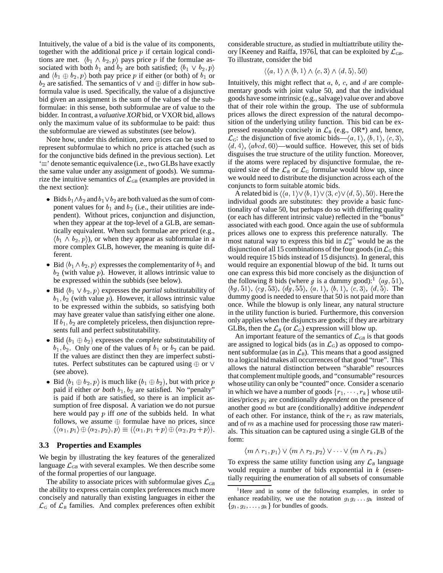Intuitively, the value of a bid is the value of its components, together with the additional price  $p$  if certain logical conditions are met.  $\langle b_1 \wedge b_2, p \rangle$  pays price p if the formulae associated with both  $b_1$  and  $b_2$  are both satisfied;  $\langle b_1 \vee b_2, p \rangle$ and  $\langle b_1 \oplus b_2, p \rangle$  both pay price p if either (or both) of  $b_1$  or  $b_2$  are satisfied. The semantics of  $\vee$  and  $\oplus$  differ in how subformula value is used. Specifically, the value of a disjunctive bid given an assignment is the sum of the values of the subformulae: in this sense, both subformulae are of value to the bidder. In contrast, a *valuative XOR* bid, or VXOR bid, allows only the maximum value of its subformulae to be paid: thus the subformulae are viewed as substitutes (see below).

Note how, under this definition, zero prices can be used to represent subformulae to which no price is attached (such as for the conjunctive bids defined in the previous section). Let  $\equiv$ ' denote semantic equivalence (i.e., two GLBs have exactly the same value under any assignment of goods). We summarize the intuitive semantics of  $\mathcal{L}_{GB}$  (examples are provided in the next section):

- Bids  $b_1 \wedge b_2$  and  $b_1 \vee b_2$  are both valued as the sum of component values for  $b_1$  and  $b_2$  (i.e., their utilities are independent). Without prices, conjunction and disjunction, when they appear at the top-level of a GLB, are semantically equivalent. When such formulae are priced (e.g.,  $\langle b_1 \wedge b_2, p \rangle$ , or when they appear as subformulae in a more complex GLB, however, the meaning is quite different.
- Bid  $\langle b_1 \wedge b_2, p \rangle$  expresses the complementarity of  $b_1$  and  $b_2$  (with value p). However, it allows intrinsic value to be expressed within the subbids (see below).
- Bid  $\langle b_1 \vee b_2, p \rangle$  expresses the *partial* substitutability of  $b_1, b_2$  (with value p). However, it allows intrinsic value to be expressed within the subbids, so satisfying both may have greater value than satisfying either one alone. If  $b_1$ ,  $b_2$  are completely priceless, then disjunction represents full and perfect substitutability.
- Bid  $(b_1 \oplus b_2)$  expresses the *complete* substitutability of  $b_1, b_2$ . Only one of the values of  $b_1$  or  $b_2$  can be paid. If the values are distinct then they are imperfect substitutes. Perfect substitutes can be captured using  $\oplus$  or  $\vee$ (see above).
- Bid  $\langle b_1 \oplus b_2, p \rangle$  is much like  $(b_1 \oplus b_2)$ , but with price p whose paid if either *or both*  $b_1$ ,  $b_2$  are satisfied. No "penalty" is paid if both are satisfied, so there is an implicit assumption of free disposal. A variation we do not pursue here would pay p iff *one* of the subbids held. In what follows, we assume  $\oplus$  formulae have no prices, since  $\langle \langle \alpha_1, p_1 \rangle \oplus \langle \alpha_2, p_2 \rangle, p \rangle \equiv (\langle \alpha_1, p_1 + p \rangle \oplus \langle \alpha_2, p_2 + p \rangle).$  als

## **3.3 Properties and Examples**

We begin by illustrating the key features of the generalized language  $\mathcal{L}_{GB}$  with several examples. We then describe some of the formal properties of our language.

The ability to associate prices with subformulae gives  $\mathcal{L}_{GB}$ the ability to express certain complex preferences much more concisely and naturally than existing languages in either the  $\mathcal{L}_G$  of  $\mathcal{L}_B$  families. And complex preferences often exhibit considerable structure, as studied in multiattribute utility theory [Keeney and Raiffa, 1976], that can be exploited by  $\mathcal{L}_{GB}$ . To illustrate, consider the bid

$$
\langle \langle a, 1 \rangle \wedge \langle b, 1 \rangle \wedge \langle c, 3 \rangle \wedge \langle d, 5 \rangle, 50 \rangle
$$

Intuitively, this might reflect that  $a, b, c$ , and  $d$  are complementary goods with joint value 50, and that the individual goods have some intrinsic (e.g., salvage) value over and above that of their role within the group. The use of subformula prices allows the direct expression of the natural decomposition of the underlying utility function. This bid can be expressed reasonably concisely in  $\mathcal{L}_B$  (e.g., OR\*) and, hence,  $\mathcal{L}_G$ : the disjunction of five atomic bids— $\langle a, 1 \rangle$ ,  $\langle b, 1 \rangle$ ,  $\langle c, 3 \rangle$ ,  $\langle d, 4 \rangle$ ,  $\langle abcd, 60 \rangle$ —would suffice. However, this set of bids disguises the true structure of the utility function. Moreover, if the atoms were replaced by disjunctive formulae, the required size of the  $\mathcal{L}_B$  or  $\mathcal{L}_G$  formulae would blow up, since we would need to distribute the disjunction across each of the conjuncts to form suitable atomic bids.

A related bid is  $\langle \langle a, 1 \rangle \vee \langle b, 1 \rangle \vee \langle 3, c \rangle \vee \langle d, 5 \rangle$ , 50). Here the individual goods are substitutes: they provide a basic functionality of value 50, but perhaps do so with differing quality (or each has different intrinsic value) reflected in the "bonus" associated with each good. Once again the use of subformula prices allows one to express this preference naturally. The most natural way to express this bid in  $\mathcal{L}_{B}^{\sigma,*}$  would be as the disjunction of all 15 combinations of the four goods (in  $\mathcal{L}_G$  this would require 15 bids instead of 15 disjuncts). In general, this would require an exponential blowup of the bid. It turns out one can express this bid more concisely as the disjunction of the following 8 bids (where g is a dummy good):<sup>1</sup>  $\langle ag, 51 \rangle$ ,  $\langle bg, 51 \rangle$ ,  $\langle cg, 53 \rangle$ ,  $\langle dg, 55 \rangle$ ,  $\langle a, 1 \rangle$ ,  $\langle b, 1 \rangle$ ,  $\langle c, 3 \rangle$ ,  $\langle d, 5 \rangle$ . The dummy good is needed to ensure that 50 is not paid more than once. While the blowup is only linear, any natural structure in the utility function is buried. Furthermore, this conversion only applies when the disjuncts are goods; if they are arbitrary GLBs, then the  $\mathcal{L}_B$  (or  $\mathcal{L}_G$ ) expression will blow up.

 $\langle +p \rangle$ ). als. This situation can be captured using a single GLB of the An important feature of the semantics of  $\mathcal{L}_{GB}$  is that goods are assigned to logical bids (as in  $\mathcal{L}_G$ ) as opposed to component subformulae (as in  $\mathcal{L}_B$ ). This means that a good assigned to a logical bid makes all occurrences of that good "true". This allows the natural distinction between "sharable" resources that complement multiple goods, and "consumable" resources whose utility can only be "counted" once. Consider a scenario in which we have a number of goods  $\{r_1, \dots, r_k\}$  whose utilities/prices  $p_i$  are conditionally *dependent* on the presence of another good *m* but are (conditionally) additive *independent* of each other. For instance, think of the  $r_i$  as raw materials, and of  $m$  as a machine used for processing those raw materiform:

$$
\langle m\wedge r_1,p_1\rangle\vee\langle m\wedge r_2,p_2\rangle\vee\cdots\vee\langle m\wedge r_k,p_k\rangle
$$

To express the same utility function using any  $\mathcal{L}_B$  language would require a number of bids exponential in  $k$  (essentially requiring the enumeration of all subsets of consumable

<sup>&</sup>lt;sup>1</sup>Here and in some of the following examples, in order to enhance readability, we use the notation  $g_1g_2 \ldots g_k$  instead of  ${g_1, g_2, \ldots, g_k}$  for bundles of goods.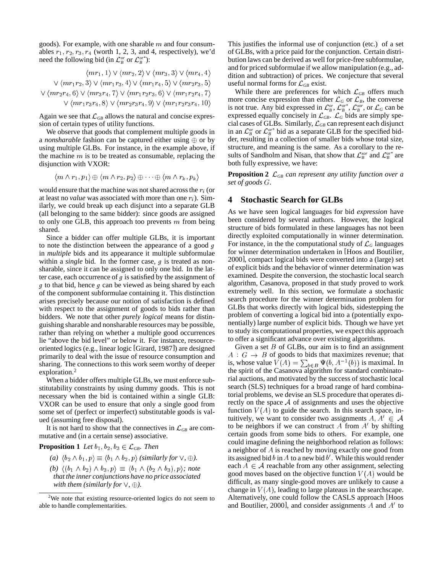goods). For example, with one sharable  $m$  and four consumables  $r_1, r_2, r_3, r_4$  (worth 1, 2, 3, and 4, respectively), we'd need the following bid (in  $\mathcal{L}_B^{or}$  or  $\mathcal{L}_B^{or*}$ ):

$$
\langle mr_1, 1 \rangle \vee \langle mr_2, 2 \rangle \vee \langle mr_3, 3 \rangle \vee \langle mr_4, 4 \rangle \quad \text{dit}
$$
  
 
$$
\vee \langle mr_1r_2, 3 \rangle \vee \langle mr_1r_3, 4 \rangle \vee \langle mr_1r_4, 5 \rangle \vee \langle mr_2r_3, 5 \rangle \quad \text{us}
$$
  
 
$$
\vee \langle mr_2r_4, 6 \rangle \vee \langle mr_3r_4, 7 \rangle \vee \langle mr_1r_2r_3, 6 \rangle \vee \langle mr_1r_2r_4, 7 \rangle \quad \vee \langle mr_1r_3r_4, 8 \rangle \vee \langle mr_2r_3r_4, 9 \rangle \vee \langle mr_1r_2r_3r_4, 10 \rangle \quad \text{me}
$$

Again we see that  $\mathcal{L}_{GB}$  allows the natural and concise expression of certain types of utility functions.

We observe that goods that complement multiple goods in a *nonsharable* fashion can be captured either using  $\oplus$  or by using multiple GLBs. For instance, in the example above, if the machine  $m$  is to be treated as consumable, replacing the disjunction with VXOR:

$$
\langle m\wedge r_1,p_1\rangle\oplus \langle m\wedge r_2,p_2\rangle\oplus\cdots\oplus \langle m\wedge r_k,p_k\rangle
$$

would ensure that the machine was not shared across the  $r_i$  (or at least no *value* was associated with more than one  $r_i$ ). Similarly, we could break up each disjunct into a separate GLB (all belonging to the same bidder): since goods are assigned to only one GLB, this approach too prevents  $m$  from being shared.

Since a bidder can offer multiple GLBs, it is important to note the distinction between the appearance of a good  $g$ in *multiple* bids and its appearance it multiple subformulae within a *single* bid. In the former case,  $q$  is treated as nonsharable, since it can be assigned to only one bid. In the latter case, each occurrence of  $q$  is satisfied by the assignment of  $g$  to that bid, hence  $g$  can be viewed as being shared by each of the component subformulae containing it. This distinction arises precisely because our notion of satisfaction is defined with respect to the assignment of goods to bids rather than bidders. We note that other *purely logical* means for distinguishing sharable and nonsharable resources may be possible, rather than relying on whether a multiple good occurrences lie "above the bid level" or below it. For instance, resourceoriented logics (e.g., linear logic [Girard, 1987]) are designed primarily to deal with the issue of resource consumption and sharing. The connections to this work seem worthy of deeper exploration.<sup>2</sup>

When a bidder offers multiple GLBs, we must enforce substitutability constraints by using dummy goods. This is not necessary when the bid is contained within a single GLB: VXOR can be used to ensure that only a single good from some set of (perfect or imperfect) substitutable goods is valued (assuming free disposal).

It is not hard to show that the connectives in  $\mathcal{L}_{GB}$  are commutative and (in a certain sense) associative.

**Proposition 1** Let  $b_1$ ,  $b_2$ ,  $b_3 \in \mathcal{L}_{GB}$ . Then

(a)  $\langle b_2 \wedge b_1, p \rangle \equiv \langle b_1 \wedge b_2, p \rangle$  (similarly for  $\vee$ ,  $\oplus$ ).

(b)  $\langle (b_1 \wedge b_2) \wedge b_3, p \rangle \equiv \langle b_1 \wedge (b_2 \wedge b_3), p \rangle$ ; note *thatthe inner conjunctions have no price associated with them (similarly for*  $\vee$ ,  $\oplus$ ).

and for priced subformulae if we allow manipulation (e.g., ad-This justifies the informal use of conjunction (etc.) of a set of GLBs, with a price paid for the conjunction. Certain distribution laws can be derived as well for price-free subformulae, dition and subtraction) of prices. We conjecture that several useful normal forms for  $\mathcal{L}_{GB}$  exist.

> While there are preferences for which  $\mathcal{L}_{GB}$  offers much more concise expression than either  $\mathcal{L}_G$  or  $\mathcal{L}_B$ , the converse is not true. Any bid expressed in  $\mathcal{L}_B^{\text{or}}, \mathcal{L}_B^{\text{or}*}, \mathcal{L}_B^{\text{xor}},$  or  $\mathcal{L}_G$  can be expressed equally concisely in  $\mathcal{L}_{GB}$ .  $\mathcal{L}_G$  bids are simply special cases of GLBs. Similarly,  $\mathcal{L}_{GB}$  can represent each disjunct in an  $\mathcal{L}_{B}^{or}$  or  $\mathcal{L}_{B}^{or*}$  bid as a separate GLB for the specified bidder, resulting in a collection of smaller bids whose total size, structure, and meaning is the same. As a corollary to the results of Sandholm and Nisan, that show that  $\mathcal{L}_B^{xor}$  and  $\mathcal{L}_B^{or*}$  are both fully expressive, we have:

> **Proposition 2**  $\mathcal{L}_{GB}$  *can represent any utility function over a set of goods .*

#### **4 Stochastic Search for GLBs**

As we have seen logical languages for bid *expression* have been considered by several authors. However, the logical structure of bids formulated in these languages has not been directly exploited computationally in winner determination. For instance, in the the computational study of  $\mathcal{L}_G$  languages for winner determination undertaken in [Hoos and Boutilier, 2000], compact logical bids were converted into a (large) set of explicit bids and the behavior of winner determination was examined. Despite the conversion, the stochastic local search algorithm, Casanova, proposed in that study proved to work extremely well. In this section, we formulate a stochastic search procedure for the winner determination problem for GLBs that works directly with logical bids, sidestepping the problem of converting a logical bid into a (potentially exponentially) large number of explicit bids. Though we have yet to study its computational properties, we expect this approach to offer a significant advance over existing algorithms.

Given a set  $\hat{B}$  of GLBs, our aim is to find an assignment  $A : G \to B$  of goods to bids that maximizes revenue; that is, whose value  $V(A) = \sum_{b \in B} \Psi(b, A^{-1}(b))$  is maximal. In the spirit of the Casanova algorithm for standard combinatorial auctions, and motivated by the success of stochastic local search (SLS) techniques for a broad range of hard combinatorial problems, we devise anSLS procedure that operates directly on the space  $A$  of assignments and uses the objective function  $V(A)$  to guide the search. In this search space, intuitively, we want to consider two assignments  $A, A' \in \mathcal{A}$ to be neighbors if we can construct A from  $A'$  by shifting certain goods from some bids to others. For example, one could imagine defining the neighborhood relation as follows: a neighbor of  $A$  is reached by moving exactly one good from its assigned bid b in A to a new bid  $b'$ . While this would render each  $A \in \mathcal{A}$  reachable from any other assignment, selecting good moves based on the objective function  $V(A)$  would be difficult, as many single-good moves are unlikely to cause a change in  $V(A)$ , leading to large plateaus in the searchscape. Alternatively, one could follow the CASLS approach [Hoos and Boutilier, 2000], and consider assignments  $A$  and  $A'$  to

<sup>2</sup>We note that existing resource-oriented logics do not seem to able to handle complementarities.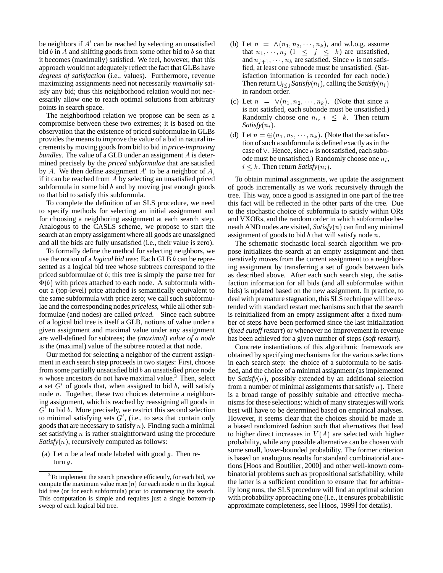be neighbors if  $A'$  can be reached by selecting an unsatisfied bid  $b$  in  $A$  and shifting goods from some other bid to  $b$  so that it becomes (maximally) satisfied. We feel, however, that this approach would not adequately reflect the fact that GLBs have *degrees of satisfaction* (i.e., values). Furthermore, revenue maximizing assignments need not necessarily *maximally* satisfy any bid; thus this neighborhood relation would not necessarily allow one to reach optimal solutions from arbitrary points in search space.

The neighborhood relation we propose can be seen as a compromise between these two extremes; it is based on the observation that the existence of priced subformulae in GLBs provides the means to improve the value of a bid in natural increments by moving goods from bid to bid in *price-improving*  $b$ *undles*. The value of a GLB under an assignment  $A$  is determined precisely by the *priced subformulae* that are satisfied by A. We then define assignment  $A<sup>t</sup>$  to be a neighbor of A, if it can be reached from  $A$  by selecting an unsatisfied priced subformula in some bid  $b$  and by moving just enough goods to that bid to satisfy this subformula.

To complete the definition of an SLS procedure, we need to specify methods for selecting an initial assignment and for choosing a neighboring assignment at each search step. Analogous to the CASLS scheme, we propose to start the search at an empty assignment where all goods are unassigned and all the bids are fully unsatisfied (i.e., their value is zero).

To formally define the method for selecting neighbors, we use the notion of a *logical bid tree*: Each GLB *b* can be represented as a logical bid tree whose subtrees correspond to the priced subformulae of  $b$ ; this tree is simply the parse tree for  $\Phi(b)$  with prices attached to each node. A subformula without a (top-level) price attached is semantically equivalent to the same subformula with price zero; we call such subformulae and the corresponding nodes *priceless*, while all other subformulae (and nodes) are called *priced*. Since each subtree of a logical bid tree is itself a GLB, notions of value under a given assignment and maximal value under any assignment are well-defined for subtrees; the *(maximal) value of a node* is the (maximal) value of the subtree rooted at that node.

Our method for selecting a neighbor of the current assignment in each search step proceeds in two stages: First, choose from some partially unsatisfied bid  $b$  an unsatisfied price node  $n$  whose ancestors do not have maximal value.<sup>3</sup> Then, select a set  $G'$  of goods that, when assigned to bid  $b$ , will satisfy node  $n$ . Together, these two choices determine a neighboring assignment, which is reached by reassigning all goods in  $G'$  to bid  $b$ . More precisely, we restrict this second selection to minimal satisfying sets  $G'$ , (i.e., to sets that contain only goods that are necessary to satisfy  $n$ ). Finding such a minimal set satisfying  $n$  is rather straightforward using the procedure  $Satisfy(n)$ , recursively computed as follows:

(a) Let  $n$  be a leaf node labeled with good  $g$ . Then return  $q$ .

- (b) Let  $n = \Lambda(n_1, n_2, \dots, n_k)$ , and w.l.o.g. assume that  $n_1, \dots, n_j$   $(1 \leq j \leq k)$  are unsatisfied, and  $n_{j+1}, \dots, n_k$  are satisfied. Since *n* is not satis<sup>f</sup> fied, at least one subnode must be unsatisfied. (Satisfaction information is recorded for each node.) Then return  $\bigcup_{i \leq j} Satisfy(n_i)$ , calling the *Satisfy*  $(n_i)$ in random order.
- (c) Let  $n = \sqrt{n_1, n_2, \cdots, n_k}$ . (Note that since n is not satisfied, each subnode must be unsatisfied.) Randomly choose one  $n_i$ ,  $i \leq k$ . Then return  $Satisfy(n_i)$ .
- (d) Let  $n = \bigoplus (n_1, n_2, \dots, n_k)$ . (Note that the satisfaction of such a subformula is defined exactly as in the case of  $\vee$ . Hence, since *n* is not satisfied, each subnode must be unsatisfied.) Randomly choose one  $n_i$ ,  $i \leq k$ . Then return *Satisfy* $(n_i)$ .

To obtain minimal assignments, we update the assignment of goods incrementally as we work recursively through the tree. This way, once a good is assigned in one part of the tree this fact will be reflected in the other parts of the tree. Due to the stochastic choice of subformula to satisfy within ORs and VXORs, and the random order in which subformulae beneath AND nodes are visited,  $Satisfy(n)$  can find any minimal assignment of goods to bid  $b$  that will satisfy node  $n$ .

The schematic stochastic local search algorithm we propose initializes the search at an empty assignment and then iteratively moves from the current assignment to a neighboring assignment by transferring a set of goods between bids as described above. After each such search step, the satisfaction information for all bids (and all subformulae within bids) is updated based on the new assignment. In practice, to deal with premature stagnation, this SLS technique will be extended with standard restart mechanisms such that the search is reinitialized from an empty assignment after a fixed number of steps have been performed since the last initialization (*fixed cutoff restart*) or whenever no improvement in revenue has been achieved for a given number of steps (*soft restart*).

Concrete instantiations of this algorithmic framework are obtained by specifying mechanisms for the various selections in each search step: the choice of a subformula to be satisfied, and the choice of a minimal assignment (as implemented by *Satisfy* $(n)$ , possibly extended by an additional selection from a number of minimal assignments that satisfy  $n$ ). There is a broad range of possibly suitable and effective mechanismsfor these selections; which of many strategies will work best will have to be determined based on empirical analyses. However, it seems clear that the choices should be made in a biased randomized fashion such that alternatives that lead to higher direct increases in  $V(A)$  are selected with higher probability, while any possible alternative can be chosen with some small, lower-bounded probability. The former criterion is based on analogous results for standard combinatorial auctions [Hoos and Boutilier, 2000] and other well-known combinatorial problems such as propositional satisfiability, while the latter is a sufficient condition to ensure that for arbitrarily long runs, the SLS procedure will find an optimal solution with probability approaching one (i.e., it ensures probabilistic approximate completeness, see [Hoos, 1999] for details).

 $3$ To implement the search procedure efficiently, for each bid, we compute the maximum value  $max(n)$  for each node n in the logical bid tree (or for each subformula) prior to commencing the search. This computation is simple and requires just a single bottom-up sweep of each logical bid tree.